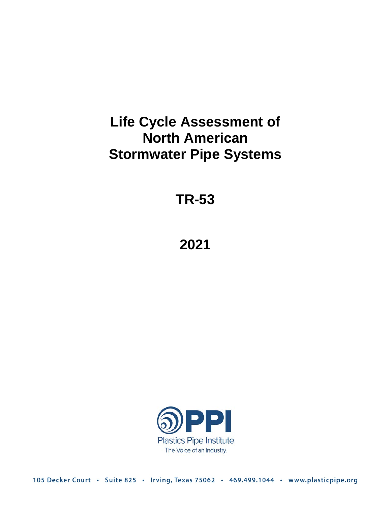# **Life Cycle Assessment of North American Stormwater Pipe Systems**

**TR-53**

# **2021**



105 Decker Court · Suite 825 · Irving, Texas 75062 · 469.499.1044 · www.plasticpipe.org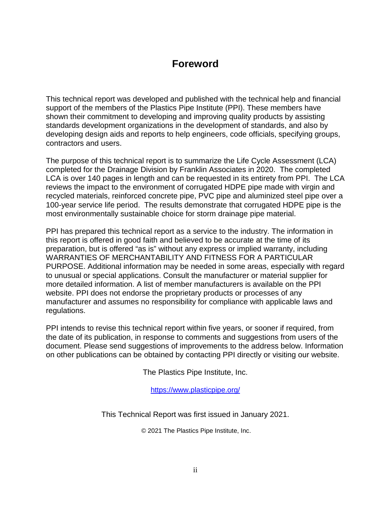# **Foreword**

This technical report was developed and published with the technical help and financial support of the members of the Plastics Pipe Institute (PPI). These members have shown their commitment to developing and improving quality products by assisting standards development organizations in the development of standards, and also by developing design aids and reports to help engineers, code officials, specifying groups, contractors and users.

The purpose of this technical report is to summarize the Life Cycle Assessment (LCA) completed for the Drainage Division by Franklin Associates in 2020. The completed LCA is over 140 pages in length and can be requested in its entirety from PPI. The LCA reviews the impact to the environment of corrugated HDPE pipe made with virgin and recycled materials, reinforced concrete pipe, PVC pipe and aluminized steel pipe over a 100-year service life period. The results demonstrate that corrugated HDPE pipe is the most environmentally sustainable choice for storm drainage pipe material.

PPI has prepared this technical report as a service to the industry. The information in this report is offered in good faith and believed to be accurate at the time of its preparation, but is offered "as is" without any express or implied warranty, including WARRANTIES OF MERCHANTABILITY AND FITNESS FOR A PARTICULAR PURPOSE. Additional information may be needed in some areas, especially with regard to unusual or special applications. Consult the manufacturer or material supplier for more detailed information. A list of member manufacturers is available on the PPI website. PPI does not endorse the proprietary products or processes of any manufacturer and assumes no responsibility for compliance with applicable laws and regulations.

PPI intends to revise this technical report within five years, or sooner if required, from the date of its publication, in response to comments and suggestions from users of the document. Please send suggestions of improvements to the address below. Information on other publications can be obtained by contacting PPI directly or visiting our website.

The Plastics Pipe Institute, Inc.

<https://www.plasticpipe.org/>

This Technical Report was first issued in January 2021.

© 2021 The Plastics Pipe Institute, Inc.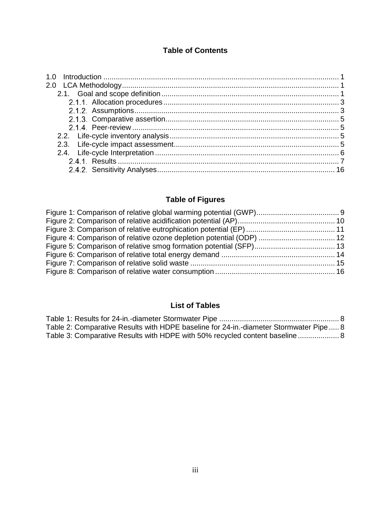### **Table of Contents**

# **Table of Figures**

# **List of Tables**

| Table 2: Comparative Results with HDPE baseline for 24-in.-diameter Stormwater Pipe 8 |  |
|---------------------------------------------------------------------------------------|--|
| Table 3: Comparative Results with HDPE with 50% recycled content baseline 8           |  |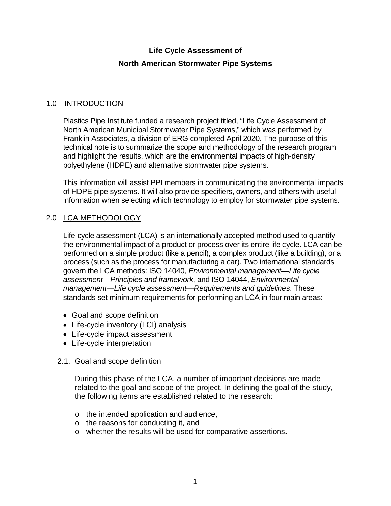# **Life Cycle Assessment of**

### **North American Stormwater Pipe Systems**

## <span id="page-3-0"></span>1.0 INTRODUCTION

Plastics Pipe Institute funded a research project titled, "Life Cycle Assessment of North American Municipal Stormwater Pipe Systems," which was performed by Franklin Associates, a division of ERG completed April 2020. The purpose of this technical note is to summarize the scope and methodology of the research program and highlight the results, which are the environmental impacts of high-density polyethylene (HDPE) and alternative stormwater pipe systems.

This information will assist PPI members in communicating the environmental impacts of HDPE pipe systems. It will also provide specifiers, owners, and others with useful information when selecting which technology to employ for stormwater pipe systems.

## <span id="page-3-1"></span>2.0 LCA METHODOLOGY

Life-cycle assessment (LCA) is an internationally accepted method used to quantify the environmental impact of a product or process over its entire life cycle. LCA can be performed on a simple product (like a pencil), a complex product (like a building), or a process (such as the process for manufacturing a car). Two international standards govern the LCA methods: ISO 14040, *Environmental management—Life cycle assessment—Principles and framework*, and ISO 14044, *Environmental management—Life cycle assessment—Requirements and guidelines*. These standards set minimum requirements for performing an LCA in four main areas:

- Goal and scope definition
- Life-cycle inventory (LCI) analysis
- Life-cycle impact assessment
- Life-cycle interpretation

### <span id="page-3-2"></span>2.1. Goal and scope definition

During this phase of the LCA, a number of important decisions are made related to the goal and scope of the project. In defining the goal of the study, the following items are established related to the research:

- o the intended application and audience,
- o the reasons for conducting it, and
- o whether the results will be used for comparative assertions.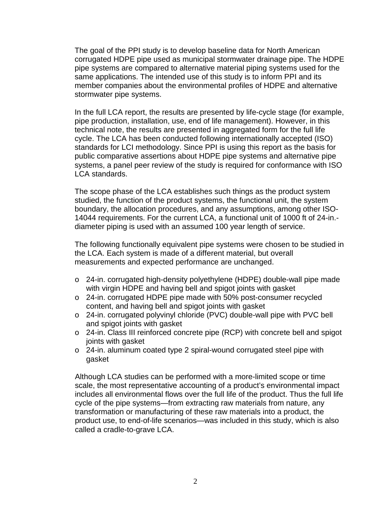The goal of the PPI study is to develop baseline data for North American corrugated HDPE pipe used as municipal stormwater drainage pipe. The HDPE pipe systems are compared to alternative material piping systems used for the same applications. The intended use of this study is to inform PPI and its member companies about the environmental profiles of HDPE and alternative stormwater pipe systems.

In the full LCA report, the results are presented by life-cycle stage (for example, pipe production, installation, use, end of life management). However, in this technical note, the results are presented in aggregated form for the full life cycle. The LCA has been conducted following internationally accepted (ISO) standards for LCI methodology. Since PPI is using this report as the basis for public comparative assertions about HDPE pipe systems and alternative pipe systems, a panel peer review of the study is required for conformance with ISO LCA standards.

The scope phase of the LCA establishes such things as the product system studied, the function of the product systems, the functional unit, the system boundary, the allocation procedures, and any assumptions, among other ISO-14044 requirements. For the current LCA, a functional unit of 1000 ft of 24-in. diameter piping is used with an assumed 100 year length of service.

The following functionally equivalent pipe systems were chosen to be studied in the LCA. Each system is made of a different material, but overall measurements and expected performance are unchanged.

- o 24-in. corrugated high-density polyethylene (HDPE) double-wall pipe made with virgin HDPE and having bell and spigot joints with gasket
- o 24-in. corrugated HDPE pipe made with 50% post-consumer recycled content, and having bell and spigot joints with gasket
- o 24-in. corrugated polyvinyl chloride (PVC) double-wall pipe with PVC bell and spigot joints with gasket
- o 24-in. Class III reinforced concrete pipe (RCP) with concrete bell and spigot joints with gasket
- o 24-in. aluminum coated type 2 spiral-wound corrugated steel pipe with gasket

Although LCA studies can be performed with a more-limited scope or time scale, the most representative accounting of a product's environmental impact includes all environmental flows over the full life of the product. Thus the full life cycle of the pipe systems—from extracting raw materials from nature, any transformation or manufacturing of these raw materials into a product, the product use, to end-of-life scenarios—was included in this study, which is also called a cradle-to-grave LCA.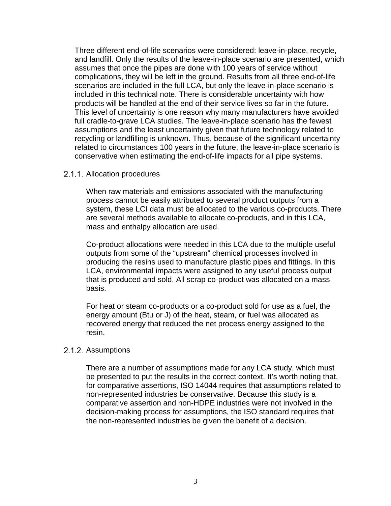Three different end-of-life scenarios were considered: leave-in-place, recycle, and landfill. Only the results of the leave-in-place scenario are presented, which assumes that once the pipes are done with 100 years of service without complications, they will be left in the ground. Results from all three end-of-life scenarios are included in the full LCA, but only the leave-in-place scenario is included in this technical note. There is considerable uncertainty with how products will be handled at the end of their service lives so far in the future. This level of uncertainty is one reason why many manufacturers have avoided full cradle-to-grave LCA studies. The leave-in-place scenario has the fewest assumptions and the least uncertainty given that future technology related to recycling or landfilling is unknown. Thus, because of the significant uncertainty related to circumstances 100 years in the future, the leave-in-place scenario is conservative when estimating the end-of-life impacts for all pipe systems.

#### <span id="page-5-0"></span>2.1.1. Allocation procedures

When raw materials and emissions associated with the manufacturing process cannot be easily attributed to several product outputs from a system, these LCI data must be allocated to the various co-products. There are several methods available to allocate co-products, and in this LCA, mass and enthalpy allocation are used.

Co-product allocations were needed in this LCA due to the multiple useful outputs from some of the "upstream" chemical processes involved in producing the resins used to manufacture plastic pipes and fittings. In this LCA, environmental impacts were assigned to any useful process output that is produced and sold. All scrap co-product was allocated on a mass basis.

For heat or steam co-products or a co-product sold for use as a fuel, the energy amount (Btu or J) of the heat, steam, or fuel was allocated as recovered energy that reduced the net process energy assigned to the resin.

#### <span id="page-5-1"></span>2.1.2. Assumptions

There are a number of assumptions made for any LCA study, which must be presented to put the results in the correct context. It's worth noting that, for comparative assertions, ISO 14044 requires that assumptions related to non-represented industries be conservative. Because this study is a comparative assertion and non-HDPE industries were not involved in the decision-making process for assumptions, the ISO standard requires that the non-represented industries be given the benefit of a decision.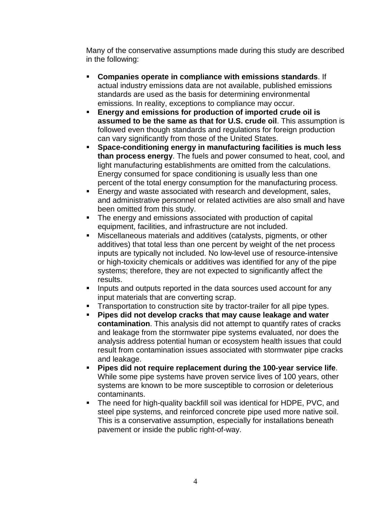Many of the conservative assumptions made during this study are described in the following:

- **Companies operate in compliance with emissions standards**. If actual industry emissions data are not available, published emissions standards are used as the basis for determining environmental emissions. In reality, exceptions to compliance may occur.
- **Energy and emissions for production of imported crude oil is assumed to be the same as that for U.S. crude oil**. This assumption is followed even though standards and regulations for foreign production can vary significantly from those of the United States.
- **Space-conditioning energy in manufacturing facilities is much less than process energy**. The fuels and power consumed to heat, cool, and light manufacturing establishments are omitted from the calculations. Energy consumed for space conditioning is usually less than one percent of the total energy consumption for the manufacturing process.
- **Energy and waste associated with research and development, sales,** and administrative personnel or related activities are also small and have been omitted from this study.
- The energy and emissions associated with production of capital equipment, facilities, and infrastructure are not included.
- Miscellaneous materials and additives (catalysts, pigments, or other additives) that total less than one percent by weight of the net process inputs are typically not included. No low-level use of resource-intensive or high-toxicity chemicals or additives was identified for any of the pipe systems; therefore, they are not expected to significantly affect the results.
- **If all inputs and outputs reported in the data sources used account for any** input materials that are converting scrap.
- **Transportation to construction site by tractor-trailer for all pipe types.**
- **Pipes did not develop cracks that may cause leakage and water contamination**. This analysis did not attempt to quantify rates of cracks and leakage from the stormwater pipe systems evaluated, nor does the analysis address potential human or ecosystem health issues that could result from contamination issues associated with stormwater pipe cracks and leakage.
- **Pipes did not require replacement during the 100-year service life**. While some pipe systems have proven service lives of 100 years, other systems are known to be more susceptible to corrosion or deleterious contaminants.
- <span id="page-6-0"></span>**The need for high-quality backfill soil was identical for HDPE, PVC, and** steel pipe systems, and reinforced concrete pipe used more native soil. This is a conservative assumption, especially for installations beneath pavement or inside the public right-of-way.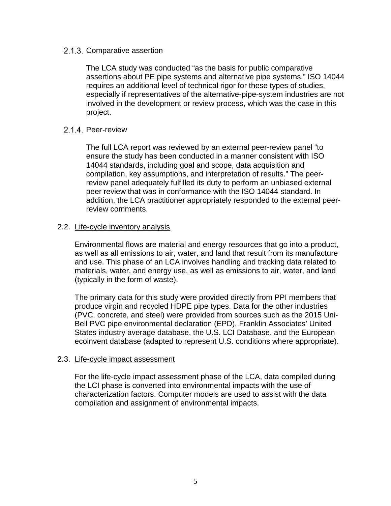#### 2.1.3. Comparative assertion

The LCA study was conducted "as the basis for public comparative assertions about PE pipe systems and alternative pipe systems." ISO 14044 requires an additional level of technical rigor for these types of studies, especially if representatives of the alternative-pipe-system industries are not involved in the development or review process, which was the case in this project.

#### <span id="page-7-0"></span>2.1.4. Peer-review

The full LCA report was reviewed by an external peer-review panel "to ensure the study has been conducted in a manner consistent with ISO 14044 standards, including goal and scope, data acquisition and compilation, key assumptions, and interpretation of results." The peerreview panel adequately fulfilled its duty to perform an unbiased external peer review that was in conformance with the ISO 14044 standard. In addition, the LCA practitioner appropriately responded to the external peerreview comments.

#### <span id="page-7-1"></span>2.2. Life-cycle inventory analysis

Environmental flows are material and energy resources that go into a product, as well as all emissions to air, water, and land that result from its manufacture and use. This phase of an LCA involves handling and tracking data related to materials, water, and energy use, as well as emissions to air, water, and land (typically in the form of waste).

The primary data for this study were provided directly from PPI members that produce virgin and recycled HDPE pipe types. Data for the other industries (PVC, concrete, and steel) were provided from sources such as the 2015 Uni-Bell PVC pipe environmental declaration (EPD), Franklin Associates' United States industry average database, the U.S. LCI Database, and the European ecoinvent database (adapted to represent U.S. conditions where appropriate).

#### <span id="page-7-2"></span>2.3. Life-cycle impact assessment

For the life-cycle impact assessment phase of the LCA, data compiled during the LCI phase is converted into environmental impacts with the use of characterization factors. Computer models are used to assist with the data compilation and assignment of environmental impacts.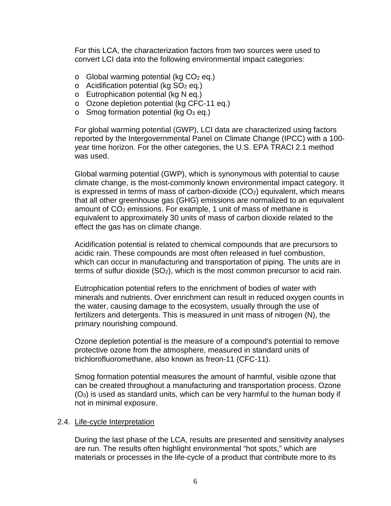For this LCA, the characterization factors from two sources were used to convert LCI data into the following environmental impact categories:

- $\circ$  Global warming potential (kg CO<sub>2</sub> eq.)
- $\circ$  Acidification potential (kg SO<sub>2</sub> eq.)
- o Eutrophication potential (kg N eq.)
- o Ozone depletion potential (kg CFC-11 eq.)
- $\circ$  Smog formation potential (kg O<sub>3</sub> eq.)

For global warming potential (GWP), LCI data are characterized using factors reported by the Intergovernmental Panel on Climate Change (IPCC) with a 100 year time horizon. For the other categories, the U.S. EPA TRACI 2.1 method was used.

Global warming potential (GWP), which is synonymous with potential to cause climate change, is the most-commonly known environmental impact category. It is expressed in terms of mass of carbon-dioxide  $(CO<sub>2</sub>)$  equivalent, which means that all other greenhouse gas (GHG) emissions are normalized to an equivalent amount of CO<sub>2</sub> emissions. For example, 1 unit of mass of methane is equivalent to approximately 30 units of mass of carbon dioxide related to the effect the gas has on climate change.

Acidification potential is related to chemical compounds that are precursors to acidic rain. These compounds are most often released in fuel combustion, which can occur in manufacturing and transportation of piping. The units are in terms of sulfur dioxide  $(SO<sub>2</sub>)$ , which is the most common precursor to acid rain.

Eutrophication potential refers to the enrichment of bodies of water with minerals and nutrients. Over enrichment can result in reduced oxygen counts in the water, causing damage to the ecosystem, usually through the use of fertilizers and detergents. This is measured in unit mass of nitrogen (N), the primary nourishing compound.

Ozone depletion potential is the measure of a compound's potential to remove protective ozone from the atmosphere, measured in standard units of trichlorofluoromethane, also known as freon-11 (CFC-11).

Smog formation potential measures the amount of harmful, visible ozone that can be created throughout a manufacturing and transportation process. Ozone (O3) is used as standard units, which can be very harmful to the human body if not in minimal exposure.

#### <span id="page-8-0"></span>2.4. Life-cycle Interpretation

During the last phase of the LCA, results are presented and sensitivity analyses are run. The results often highlight environmental "hot spots," which are materials or processes in the life-cycle of a product that contribute more to its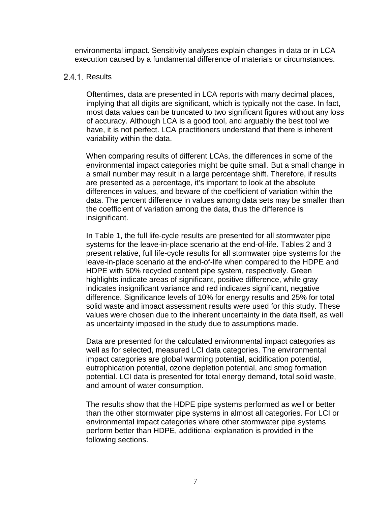environmental impact. Sensitivity analyses explain changes in data or in LCA execution caused by a fundamental difference of materials or circumstances.

#### <span id="page-9-0"></span>2.4.1. Results

Oftentimes, data are presented in LCA reports with many decimal places, implying that all digits are significant, which is typically not the case. In fact, most data values can be truncated to two significant figures without any loss of accuracy. Although LCA is a good tool, and arguably the best tool we have, it is not perfect. LCA practitioners understand that there is inherent variability within the data.

When comparing results of different LCAs, the differences in some of the environmental impact categories might be quite small. But a small change in a small number may result in a large percentage shift. Therefore, if results are presented as a percentage, it's important to look at the absolute differences in values, and beware of the coefficient of variation within the data. The percent difference in values among data sets may be smaller than the coefficient of variation among the data, thus the difference is insignificant.

In Table 1, the full life-cycle results are presented for all stormwater pipe systems for the leave-in-place scenario at the end-of-life. Tables 2 and 3 present relative, full life-cycle results for all stormwater pipe systems for the leave-in-place scenario at the end-of-life when compared to the HDPE and HDPE with 50% recycled content pipe system, respectively. Green highlights indicate areas of significant, positive difference, while gray indicates insignificant variance and red indicates significant, negative difference. Significance levels of 10% for energy results and 25% for total solid waste and impact assessment results were used for this study. These values were chosen due to the inherent uncertainty in the data itself, as well as uncertainty imposed in the study due to assumptions made.

Data are presented for the calculated environmental impact categories as well as for selected, measured LCI data categories. The environmental impact categories are global warming potential, acidification potential, eutrophication potential, ozone depletion potential, and smog formation potential. LCI data is presented for total energy demand, total solid waste, and amount of water consumption.

The results show that the HDPE pipe systems performed as well or better than the other stormwater pipe systems in almost all categories. For LCI or environmental impact categories where other stormwater pipe systems perform better than HDPE, additional explanation is provided in the following sections.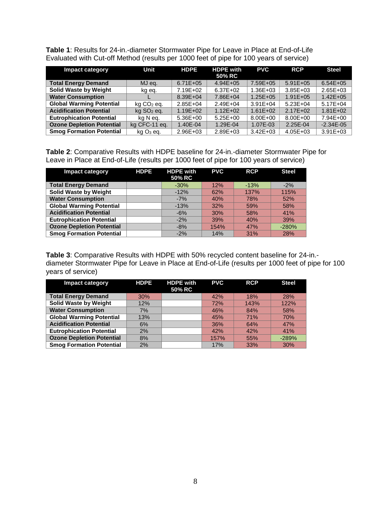<span id="page-10-0"></span>**Table 1**: Results for 24-in.-diameter Stormwater Pipe for Leave in Place at End-of-Life Evaluated with Cut-off Method (results per 1000 feet of pipe for 100 years of service)

| <b>Impact category</b>           | Unit                     | <b>HDPE</b>  | <b>HDPE with</b> | <b>PVC</b>   | <b>RCP</b>    | <b>Steel</b>  |
|----------------------------------|--------------------------|--------------|------------------|--------------|---------------|---------------|
|                                  |                          |              | 50% RC           |              |               |               |
| <b>Total Energy Demand</b>       | MJ eq.                   | $6.71E + 05$ | $4.94E + 05$     | 7.59E+05     | $5.91E + 05$  | $6.54E + 05$  |
| <b>Solid Waste by Weight</b>     | kg eq.                   | 7.19E+02     | $6.37E + 02$     | $1.36E + 03$ | $3.85E + 03$  | 2.65E+03      |
| <b>Water Consumption</b>         |                          | $8.39E + 04$ | 7.86E+04         | $1.25E + 05$ | $1.91E + 0.5$ | $1.42E + 05$  |
| <b>Global Warming Potential</b>  | ka CO <sub>2</sub> ea.   | $2.85E + 04$ | $2.49E + 04$     | $3.91E + 04$ | $5.23E + 04$  | $5.17E + 04$  |
| <b>Acidification Potential</b>   | $kq$ SO <sub>2</sub> eq. | $1.19E + 02$ | $1.12E + 02$     | $1.61E + 02$ | $2.17E + 02$  | $1.81E + 02$  |
| <b>Eutrophication Potential</b>  | kg N eg.                 | $5.36E + 00$ | $5.25E + 00$     | 8.00E+00     | 8.00E+00      | 7.94E+00      |
| <b>Ozone Depletion Potential</b> | kg CFC-11 eq.            | 1.40E-04     | 1.29E-04         | 1.07E-03     | 2.25E-04      | $-2.34E - 05$ |
| <b>Smog Formation Potential</b>  | $kq$ $O_3$ eq.           | $2.96E + 03$ | 2.89E+03         | $3.42E + 03$ | $4.05E + 03$  | $3.91E + 03$  |

<span id="page-10-1"></span>**Table 2**: Comparative Results with HDPE baseline for 24-in.-diameter Stormwater Pipe for Leave in Place at End-of-Life (results per 1000 feet of pipe for 100 years of service)

| <b>Impact category</b>           | <b>HDPE</b> | <b>HDPE with</b><br>50% RC | <b>PVC</b> | <b>RCP</b> | <b>Steel</b> |
|----------------------------------|-------------|----------------------------|------------|------------|--------------|
| <b>Total Energy Demand</b>       |             | $-30%$                     | 12%        | $-13%$     | $-2%$        |
| <b>Solid Waste by Weight</b>     |             | $-12%$                     | 62%        | 137%       | 115%         |
| <b>Water Consumption</b>         |             | $-7%$                      | 40%        | 78%        | 52%          |
| <b>Global Warming Potential</b>  |             | $-13%$                     | 32%        | 59%        | 58%          |
| <b>Acidification Potential</b>   |             | $-6%$                      | 30%        | 58%        | 41%          |
| <b>Eutrophication Potential</b>  |             | $-2%$                      | 39%        | 40%        | 39%          |
| <b>Ozone Depletion Potential</b> |             | $-8%$                      | 154%       | 47%        | $-280%$      |
| <b>Smog Formation Potential</b>  |             | $-2%$                      | 14%        | 31%        | 28%          |

<span id="page-10-2"></span>**Table 3**: Comparative Results with HDPE with 50% recycled content baseline for 24-in. diameter Stormwater Pipe for Leave in Place at End-of-Life (results per 1000 feet of pipe for 100 years of service)

| <b>Impact category</b>           | <b>HDPE</b> | <b>HDPE with</b><br>50% RC | <b>PVC</b> | <b>RCP</b> | <b>Steel</b> |
|----------------------------------|-------------|----------------------------|------------|------------|--------------|
| <b>Total Energy Demand</b>       | 30%         |                            | 42%        | 18%        | 28%          |
| <b>Solid Waste by Weight</b>     | 12%         |                            | 72%        | 143%       | 122%         |
| <b>Water Consumption</b>         | 7%          |                            | 46%        | 84%        | 58%          |
| <b>Global Warming Potential</b>  | 13%         |                            | 45%        | 71%        | 70%          |
| <b>Acidification Potential</b>   | 6%          |                            | 36%        | 64%        | 47%          |
| <b>Eutrophication Potential</b>  | 2%          |                            | 42%        | 42%        | 41%          |
| <b>Ozone Depletion Potential</b> | 8%          |                            | 157%       | 55%        | $-289%$      |
| <b>Smog Formation Potential</b>  | 2%          |                            | 17%        | 33%        | 30%          |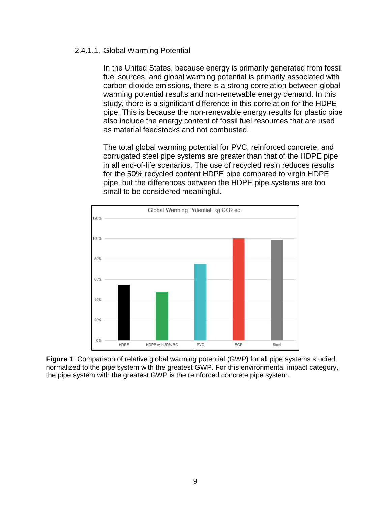#### 2.4.1.1. Global Warming Potential

In the United States, because energy is primarily generated from fossil fuel sources, and global warming potential is primarily associated with carbon dioxide emissions, there is a strong correlation between global warming potential results and non-renewable energy demand. In this study, there is a significant difference in this correlation for the HDPE pipe. This is because the non-renewable energy results for plastic pipe also include the energy content of fossil fuel resources that are used as material feedstocks and not combusted.

The total global warming potential for PVC, reinforced concrete, and corrugated steel pipe systems are greater than that of the HDPE pipe in all end-of-life scenarios. The use of recycled resin reduces results for the 50% recycled content HDPE pipe compared to virgin HDPE pipe, but the differences between the HDPE pipe systems are too small to be considered meaningful.



<span id="page-11-0"></span>**Figure 1**: Comparison of relative global warming potential (GWP) for all pipe systems studied normalized to the pipe system with the greatest GWP. For this environmental impact category, the pipe system with the greatest GWP is the reinforced concrete pipe system.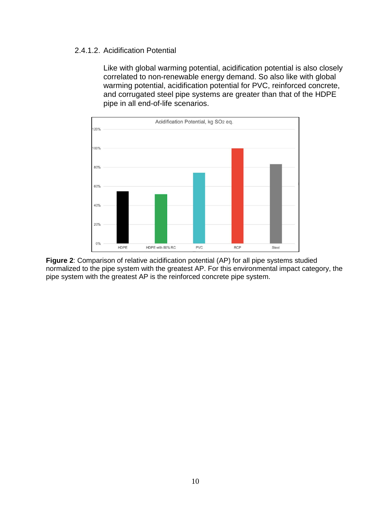#### 2.4.1.2. Acidification Potential

Like with global warming potential, acidification potential is also closely correlated to non-renewable energy demand. So also like with global warming potential, acidification potential for PVC, reinforced concrete, and corrugated steel pipe systems are greater than that of the HDPE pipe in all end-of-life scenarios.



<span id="page-12-0"></span>**Figure 2**: Comparison of relative acidification potential (AP) for all pipe systems studied normalized to the pipe system with the greatest AP. For this environmental impact category, the pipe system with the greatest AP is the reinforced concrete pipe system.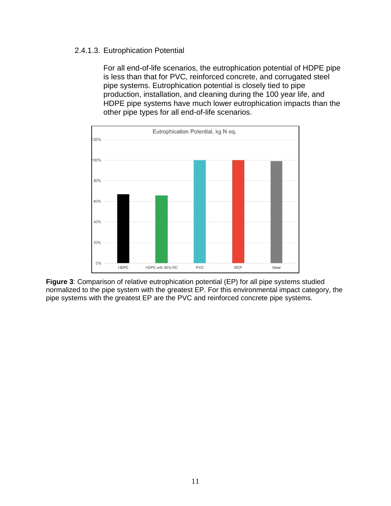#### 2.4.1.3. Eutrophication Potential

For all end-of-life scenarios, the eutrophication potential of HDPE pipe is less than that for PVC, reinforced concrete, and corrugated steel pipe systems. Eutrophication potential is closely tied to pipe production, installation, and cleaning during the 100 year life, and HDPE pipe systems have much lower eutrophication impacts than the other pipe types for all end-of-life scenarios.



<span id="page-13-0"></span>**Figure 3**: Comparison of relative eutrophication potential (EP) for all pipe systems studied normalized to the pipe system with the greatest EP. For this environmental impact category, the pipe systems with the greatest EP are the PVC and reinforced concrete pipe systems.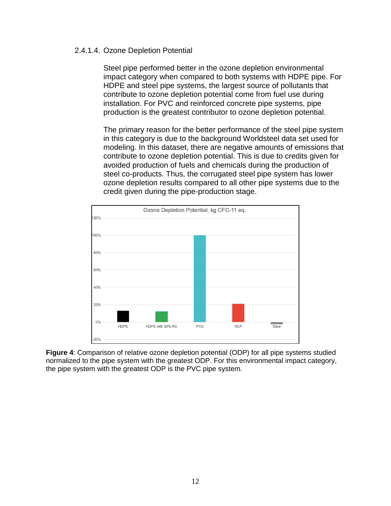#### 2.4.1.4. Ozone Depletion Potential

Steel pipe performed better in the ozone depletion environmental impact category when compared to both systems with HDPE pipe. For HDPE and steel pipe systems, the largest source of pollutants that contribute to ozone depletion potential come from fuel use during installation. For PVC and reinforced concrete pipe systems, pipe production is the greatest contributor to ozone depletion potential.

The primary reason for the better performance of the steel pipe system in this category is due to the background Worldsteel data set used for modeling. In this dataset, there are negative amounts of emissions that contribute to ozone depletion potential. This is due to credits given for avoided production of fuels and chemicals during the production of steel co-products. Thus, the corrugated steel pipe system has lower ozone depletion results compared to all other pipe systems due to the credit given during the pipe-production stage.



<span id="page-14-0"></span>**Figure 4**: Comparison of relative ozone depletion potential (ODP) for all pipe systems studied normalized to the pipe system with the greatest ODP. For this environmental impact category, the pipe system with the greatest ODP is the PVC pipe system.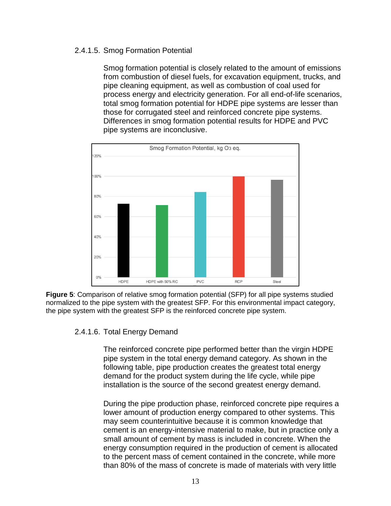#### 2.4.1.5. Smog Formation Potential

Smog formation potential is closely related to the amount of emissions from combustion of diesel fuels, for excavation equipment, trucks, and pipe cleaning equipment, as well as combustion of coal used for process energy and electricity generation. For all end-of-life scenarios, total smog formation potential for HDPE pipe systems are lesser than those for corrugated steel and reinforced concrete pipe systems. Differences in smog formation potential results for HDPE and PVC pipe systems are inconclusive.



<span id="page-15-0"></span>**Figure 5**: Comparison of relative smog formation potential (SFP) for all pipe systems studied normalized to the pipe system with the greatest SFP. For this environmental impact category, the pipe system with the greatest SFP is the reinforced concrete pipe system.

#### 2.4.1.6. Total Energy Demand

The reinforced concrete pipe performed better than the virgin HDPE pipe system in the total energy demand category. As shown in the following table, pipe production creates the greatest total energy demand for the product system during the life cycle, while pipe installation is the source of the second greatest energy demand.

During the pipe production phase, reinforced concrete pipe requires a lower amount of production energy compared to other systems. This may seem counterintuitive because it is common knowledge that cement is an energy-intensive material to make, but in practice only a small amount of cement by mass is included in concrete. When the energy consumption required in the production of cement is allocated to the percent mass of cement contained in the concrete, while more than 80% of the mass of concrete is made of materials with very little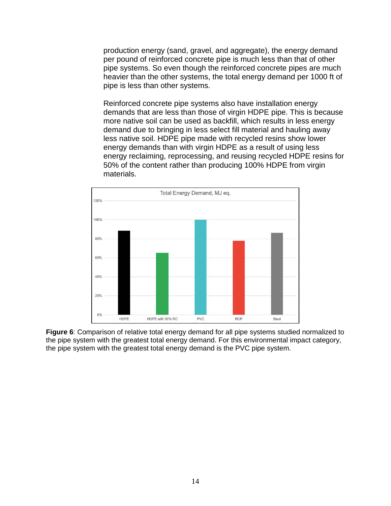production energy (sand, gravel, and aggregate), the energy demand per pound of reinforced concrete pipe is much less than that of other pipe systems. So even though the reinforced concrete pipes are much heavier than the other systems, the total energy demand per 1000 ft of pipe is less than other systems.

Reinforced concrete pipe systems also have installation energy demands that are less than those of virgin HDPE pipe. This is because more native soil can be used as backfill, which results in less energy demand due to bringing in less select fill material and hauling away less native soil. HDPE pipe made with recycled resins show lower energy demands than with virgin HDPE as a result of using less energy reclaiming, reprocessing, and reusing recycled HDPE resins for 50% of the content rather than producing 100% HDPE from virgin materials.



<span id="page-16-0"></span>**Figure 6**: Comparison of relative total energy demand for all pipe systems studied normalized to the pipe system with the greatest total energy demand. For this environmental impact category, the pipe system with the greatest total energy demand is the PVC pipe system.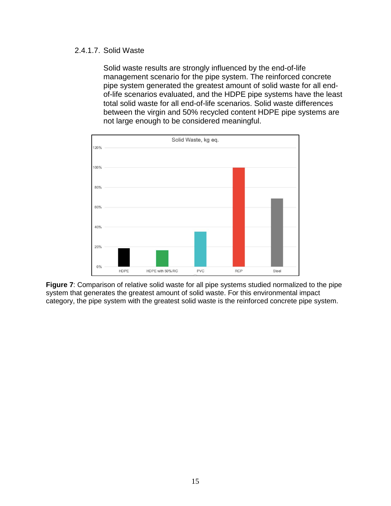#### 2.4.1.7. Solid Waste

Solid waste results are strongly influenced by the end-of-life management scenario for the pipe system. The reinforced concrete pipe system generated the greatest amount of solid waste for all endof-life scenarios evaluated, and the HDPE pipe systems have the least total solid waste for all end-of-life scenarios. Solid waste differences between the virgin and 50% recycled content HDPE pipe systems are not large enough to be considered meaningful.



<span id="page-17-0"></span>**Figure 7**: Comparison of relative solid waste for all pipe systems studied normalized to the pipe system that generates the greatest amount of solid waste. For this environmental impact category, the pipe system with the greatest solid waste is the reinforced concrete pipe system.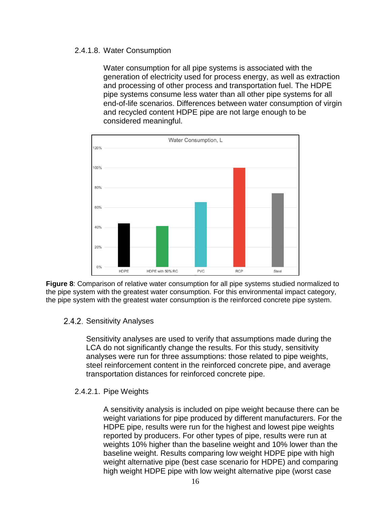#### 2.4.1.8. Water Consumption

Water consumption for all pipe systems is associated with the generation of electricity used for process energy, as well as extraction and processing of other process and transportation fuel. The HDPE pipe systems consume less water than all other pipe systems for all end-of-life scenarios. Differences between water consumption of virgin and recycled content HDPE pipe are not large enough to be considered meaningful.



<span id="page-18-1"></span>**Figure 8**: Comparison of relative water consumption for all pipe systems studied normalized to the pipe system with the greatest water consumption. For this environmental impact category, the pipe system with the greatest water consumption is the reinforced concrete pipe system.

<span id="page-18-0"></span>2.4.2. Sensitivity Analyses

Sensitivity analyses are used to verify that assumptions made during the LCA do not significantly change the results. For this study, sensitivity analyses were run for three assumptions: those related to pipe weights, steel reinforcement content in the reinforced concrete pipe, and average transportation distances for reinforced concrete pipe.

2.4.2.1. Pipe Weights

A sensitivity analysis is included on pipe weight because there can be weight variations for pipe produced by different manufacturers. For the HDPE pipe, results were run for the highest and lowest pipe weights reported by producers. For other types of pipe, results were run at weights 10% higher than the baseline weight and 10% lower than the baseline weight. Results comparing low weight HDPE pipe with high weight alternative pipe (best case scenario for HDPE) and comparing high weight HDPE pipe with low weight alternative pipe (worst case